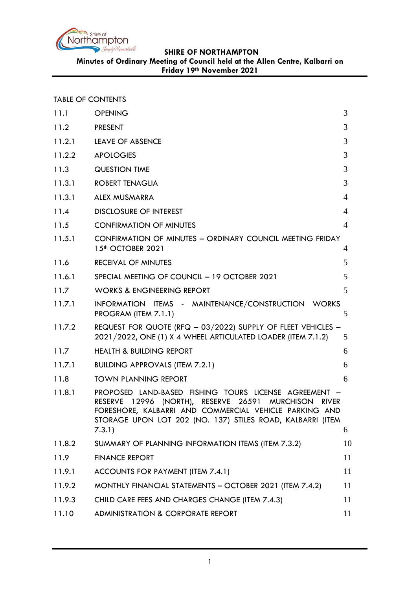

**Minutes of Ordinary Meeting of Council held at the Allen Centre, Kalbarri on Friday 19th November 2021**

TABLE OF CONTENTS

| 11.1   | <b>OPENING</b>                                                                                                                                                                                                                                                                | 3              |
|--------|-------------------------------------------------------------------------------------------------------------------------------------------------------------------------------------------------------------------------------------------------------------------------------|----------------|
| 11.2   | <b>PRESENT</b>                                                                                                                                                                                                                                                                | 3              |
| 11.2.1 | LEAVE OF ABSENCE                                                                                                                                                                                                                                                              | 3              |
| 11.2.2 | <b>APOLOGIES</b>                                                                                                                                                                                                                                                              | 3              |
| 11.3   | <b>QUESTION TIME</b>                                                                                                                                                                                                                                                          | 3              |
| 11.3.1 | <b>ROBERT TENAGLIA</b>                                                                                                                                                                                                                                                        | 3              |
| 11.3.1 | ALEX MUSMARRA                                                                                                                                                                                                                                                                 | $\overline{4}$ |
| 11.4   | <b>DISCLOSURE OF INTEREST</b>                                                                                                                                                                                                                                                 | 4              |
| 11.5   | <b>CONFIRMATION OF MINUTES</b>                                                                                                                                                                                                                                                | $\overline{4}$ |
| 11.5.1 | CONFIRMATION OF MINUTES - ORDINARY COUNCIL MEETING FRIDAY<br>15 <sup>th</sup> OCTOBER 2021                                                                                                                                                                                    | 4              |
| 11.6   | <b>RECEIVAL OF MINUTES</b>                                                                                                                                                                                                                                                    | 5              |
| 11.6.1 | SPECIAL MEETING OF COUNCIL - 19 OCTOBER 2021                                                                                                                                                                                                                                  | 5              |
| 11.7   | <b>WORKS &amp; ENGINEERING REPORT</b>                                                                                                                                                                                                                                         | 5              |
| 11.7.1 | INFORMATION ITEMS - MAINTENANCE/CONSTRUCTION WORKS<br>PROGRAM (ITEM 7.1.1)                                                                                                                                                                                                    | 5              |
| 11.7.2 | REQUEST FOR QUOTE (RFQ - 03/2022) SUPPLY OF FLEET VEHICLES -<br>2021/2022, ONE (1) X 4 WHEEL ARTICULATED LOADER (ITEM 7.1.2)                                                                                                                                                  | 5              |
| 11.7   | <b>HEALTH &amp; BUILDING REPORT</b>                                                                                                                                                                                                                                           | 6              |
| 11.7.1 | <b>BUILDING APPROVALS (ITEM 7.2.1)</b>                                                                                                                                                                                                                                        | 6              |
| 11.8   | <b>TOWN PLANNING REPORT</b>                                                                                                                                                                                                                                                   | 6              |
| 11.8.1 | PROPOSED LAND-BASED FISHING TOURS LICENSE AGREEMENT -<br>12996 (NORTH), RESERVE 26591<br><b>MURCHISON</b><br><b>RESERVE</b><br><b>RIVER</b><br>FORESHORE, KALBARRI AND COMMERCIAL VEHICLE PARKING AND<br>STORAGE UPON LOT 202 (NO. 137) STILES ROAD, KALBARRI (ITEM<br>7.3.1) | 6              |
| 11.8.2 | SUMMARY OF PLANNING INFORMATION ITEMS (ITEM 7.3.2)                                                                                                                                                                                                                            | 10             |
| 11.9   | <b>FINANCE REPORT</b>                                                                                                                                                                                                                                                         | 11             |
| 11.9.1 | ACCOUNTS FOR PAYMENT (ITEM 7.4.1)                                                                                                                                                                                                                                             | 11             |
| 11.9.2 | MONTHLY FINANCIAL STATEMENTS - OCTOBER 2021 (ITEM 7.4.2)                                                                                                                                                                                                                      | 11             |
| 11.9.3 | CHILD CARE FEES AND CHARGES CHANGE (ITEM 7.4.3)                                                                                                                                                                                                                               | 11             |
| 11.10  | <b>ADMINISTRATION &amp; CORPORATE REPORT</b>                                                                                                                                                                                                                                  | 11             |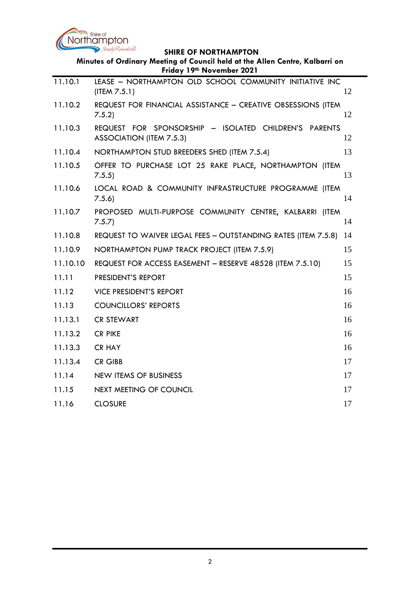

| Minutes of Ordinary Meeting of Council held at the Allen Centre, Kalbarri on<br>Friday 19th November 2021 |                                                                                          |    |  |  |
|-----------------------------------------------------------------------------------------------------------|------------------------------------------------------------------------------------------|----|--|--|
| 11.10.1                                                                                                   | LEASE - NORTHAMPTON OLD SCHOOL COMMUNITY INITIATIVE INC<br>(ITER 7.5.1)                  | 12 |  |  |
| 11.10.2                                                                                                   | REQUEST FOR FINANCIAL ASSISTANCE - CREATIVE OBSESSIONS (ITEM<br>7.5.2                    | 12 |  |  |
| 11.10.3                                                                                                   | REQUEST FOR SPONSORSHIP - ISOLATED CHILDREN'S PARENTS<br><b>ASSOCIATION (ITEM 7.5.3)</b> | 12 |  |  |
| 11.10.4                                                                                                   | NORTHAMPTON STUD BREEDERS SHED (ITEM 7.5.4)                                              | 13 |  |  |
| 11.10.5                                                                                                   | OFFER TO PURCHASE LOT 25 RAKE PLACE, NORTHAMPTON (ITEM<br>7.5.5)                         | 13 |  |  |
| 11.10.6                                                                                                   | LOCAL ROAD & COMMUNITY INFRASTRUCTURE PROGRAMME (ITEM<br>7.5.6                           | 14 |  |  |
| 11.10.7                                                                                                   | PROPOSED MULTI-PURPOSE COMMUNITY CENTRE, KALBARRI (ITEM<br>7.5.7                         | 14 |  |  |
| 11.10.8                                                                                                   | REQUEST TO WAIVER LEGAL FEES - OUTSTANDING RATES (ITEM 7.5.8)                            | 14 |  |  |
| 11.10.9                                                                                                   | NORTHAMPTON PUMP TRACK PROJECT (ITEM 7.5.9)                                              | 15 |  |  |
| 11.10.10                                                                                                  | REQUEST FOR ACCESS EASEMENT - RESERVE 48528 (ITEM 7.5.10)                                | 15 |  |  |
| 11.11                                                                                                     | PRESIDENT'S REPORT                                                                       | 15 |  |  |
| 11.12                                                                                                     | <b>VICE PRESIDENT'S REPORT</b>                                                           | 16 |  |  |
| 11.13                                                                                                     | <b>COUNCILLORS' REPORTS</b>                                                              | 16 |  |  |
| 11.13.1                                                                                                   | <b>CR STEWART</b>                                                                        | 16 |  |  |
| 11.13.2                                                                                                   | <b>CR PIKE</b>                                                                           | 16 |  |  |
| 11.13.3                                                                                                   | <b>CR HAY</b>                                                                            | 16 |  |  |
| 11.13.4                                                                                                   | <b>CR GIBB</b>                                                                           | 17 |  |  |
| 11.14                                                                                                     | <b>NEW ITEMS OF BUSINESS</b>                                                             | 17 |  |  |
| 11.15                                                                                                     | <b>NEXT MEETING OF COUNCIL</b>                                                           | 17 |  |  |
| 11.16                                                                                                     | <b>CLOSURE</b>                                                                           | 17 |  |  |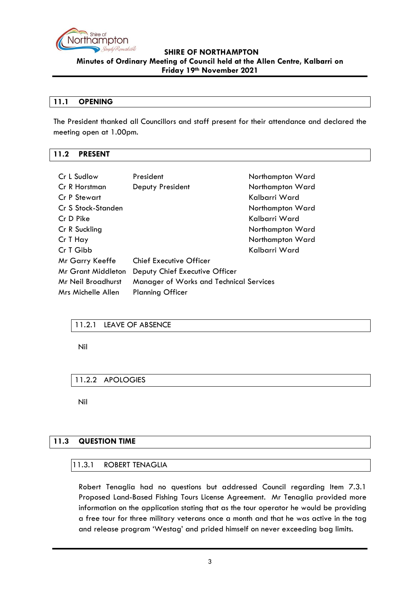

#### <span id="page-2-0"></span>**11.1 OPENING**

The President thanked all Councillors and staff present for their attendance and declared the meeting open at 1.00pm.

### <span id="page-2-1"></span>**11.2 PRESENT**

| Cr L Sudlow               | President                               | Northampton Ward |
|---------------------------|-----------------------------------------|------------------|
| Cr R Horstman             | Deputy President                        | Northampton Ward |
| Cr P Stewart              |                                         | Kalbarri Ward    |
| Cr S Stock-Standen        |                                         | Northampton Ward |
| Cr D Pike                 |                                         | Kalbarri Ward    |
| Cr R Suckling             |                                         | Northampton Ward |
| Cr T Hay                  |                                         | Northampton Ward |
| Cr T Gibb                 |                                         | Kalbarri Ward    |
| Mr Garry Keeffe           | <b>Chief Executive Officer</b>          |                  |
| <b>Mr Grant Middleton</b> | Deputy Chief Executive Officer          |                  |
| Mr Neil Broadhurst        | Manager of Works and Technical Services |                  |
| Mrs Michelle Allen        | <b>Planning Officer</b>                 |                  |

### <span id="page-2-2"></span>11.2.1 LEAVE OF ABSENCE

Nil

<span id="page-2-3"></span>11.2.2 APOLOGIES

Nil

# <span id="page-2-4"></span>**11.3 QUESTION TIME**

#### <span id="page-2-5"></span>11.3.1 ROBERT TENAGLIA

Robert Tenaglia had no questions but addressed Council regarding Item 7.3.1 Proposed Land-Based Fishing Tours License Agreement. Mr Tenaglia provided more information on the application stating that as the tour operator he would be providing a free tour for three military veterans once a month and that he was active in the tag and release program 'Westag' and prided himself on never exceeding bag limits.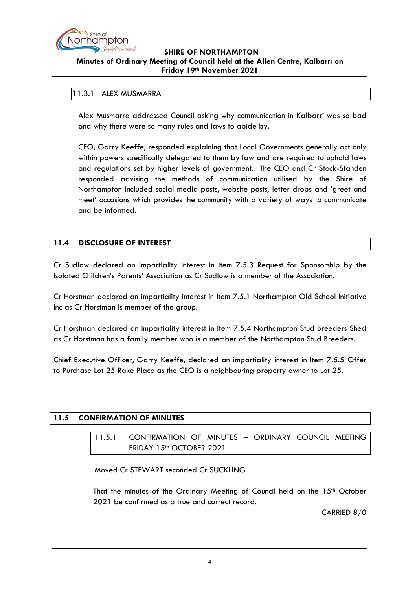

#### <span id="page-3-0"></span>11.3.1 ALEX MUSMARRA

Alex Musmarra addressed Council asking why communication in Kalbarri was so bad and why there were so many rules and laws to abide by.

CEO, Garry Keeffe, responded explaining that Local Governments generally act only within powers specifically delegated to them by law and are required to uphold laws and regulations set by higher levels of government. The CEO and Cr Stock-Standen responded advising the methods of communication utilised by the Shire of Northampton included social media posts, website posts, letter drops and 'greet and meet' occasions which provides the community with a variety of ways to communicate and be informed.

### <span id="page-3-1"></span>**11.4 DISCLOSURE OF INTEREST**

Cr Sudlow declared an impartiality interest in Item 7.5.3 Request for Sponsorship by the Isolated Children's Parents' Association as Cr Sudlow is a member of the Association.

Cr Horstman declared an impartiality interest in Item 7.5.1 Northampton Old School Initiative Inc as Cr Horstman is member of the group.

Cr Horstman declared an impartiality interest in Item 7.5.4 Northampton Stud Breeders Shed as Cr Horstman has a family member who is a member of the Northampton Stud Breeders.

Chief Executive Officer, Garry Keeffe, declared an impartiality interest in Item 7.5.5 Offer to Purchase Lot 25 Rake Place as the CEO is a neighbouring property owner to Lot 25.

### <span id="page-3-3"></span><span id="page-3-2"></span>**11.5 CONFIRMATION OF MINUTES**

11.5.1 CONFIRMATION OF MINUTES – ORDINARY COUNCIL MEETING FRIDAY 15<sup>th</sup> OCTOBER 2021

Moved Cr STEWART seconded Cr SUCKLING

That the minutes of the Ordinary Meeting of Council held on the  $15<sup>th</sup>$  October 2021 be confirmed as a true and correct record.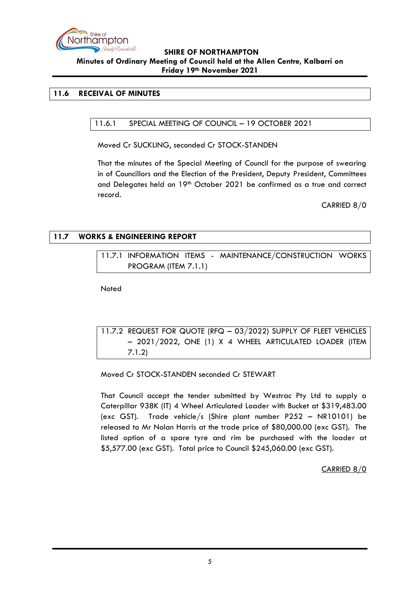

# <span id="page-4-1"></span><span id="page-4-0"></span>**11.6 RECEIVAL OF MINUTES**

# 11.6.1 SPECIAL MEETING OF COUNCIL – 19 OCTOBER 2021

Moved Cr SUCKLING, seconded Cr STOCK-STANDEN

That the minutes of the Special Meeting of Council for the purpose of swearing in of Councillors and the Election of the President, Deputy President, Committees and Delegates held on 19<sup>th</sup> October 2021 be confirmed as a true and correct record.

CARRIED 8/0

# <span id="page-4-3"></span><span id="page-4-2"></span>**11.7 WORKS & ENGINEERING REPORT**

11.7.1 INFORMATION ITEMS - MAINTENANCE/CONSTRUCTION WORKS PROGRAM (ITEM 7.1.1)

Noted

<span id="page-4-4"></span>11.7.2 REQUEST FOR QUOTE (RFQ – 03/2022) SUPPLY OF FLEET VEHICLES – 2021/2022, ONE (1) X 4 WHEEL ARTICULATED LOADER (ITEM 7.1.2)

Moved Cr STOCK-STANDEN seconded Cr STEWART

That Council accept the tender submitted by Westrac Pty Ltd to supply a Caterpillar 938K (IT) 4 Wheel Articulated Loader with Bucket at \$319,483.00 (exc GST). Trade vehicle/s (Shire plant number P252 – NR10101) be released to Mr Nolan Harris at the trade price of \$80,000.00 (exc GST). The listed option of a spare tyre and rim be purchased with the loader at \$5,577.00 (exc GST). Total price to Council \$245,060.00 (exc GST).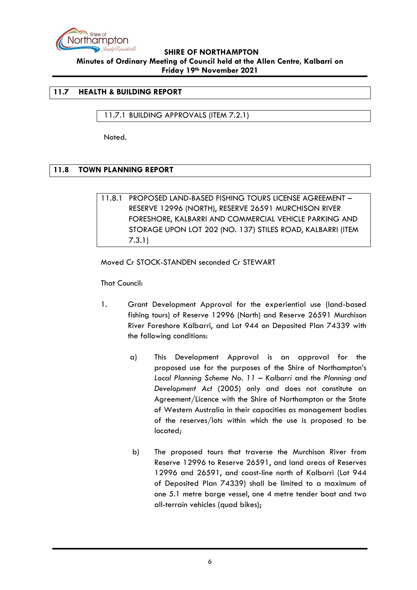

# <span id="page-5-0"></span>**11.7 HEALTH & BUILDING REPORT**

<span id="page-5-1"></span>11.7.1 BUILDING APPROVALS (ITEM 7.2.1)

Noted.

# <span id="page-5-3"></span><span id="page-5-2"></span>**11.8 TOWN PLANNING REPORT**

11.8.1 PROPOSED LAND-BASED FISHING TOURS LICENSE AGREEMENT – RESERVE 12996 (NORTH), RESERVE 26591 MURCHISON RIVER FORESHORE, KALBARRI AND COMMERCIAL VEHICLE PARKING AND STORAGE UPON LOT 202 (NO. 137) STILES ROAD, KALBARRI (ITEM 7.3.1)

Moved Cr STOCK-STANDEN seconded Cr STEWART

That Council:

- 1. Grant Development Approval for the experiential use (land-based fishing tours) of Reserve 12996 (North) and Reserve 26591 Murchison River Foreshore Kalbarri, and Lot 944 on Deposited Plan 74339 with the following conditions:
	- a) This Development Approval is an approval for the proposed use for the purposes of the Shire of Northampton's *Local Planning Scheme No. 11 – Kalbarri* and the *Planning and Development Act* (2005) only and does not constitute an Agreement/Licence with the Shire of Northampton or the State of Western Australia in their capacities as management bodies of the reserves/lots within which the use is proposed to be located;
	- b) The proposed tours that traverse the Murchison River from Reserve 12996 to Reserve 26591, and land areas of Reserves 12996 and 26591, and coast-line north of Kalbarri (Lot 944 of Deposited Plan 74339) shall be limited to a maximum of one 5.1 metre barge vessel, one 4 metre tender boat and two all-terrain vehicles (quad bikes);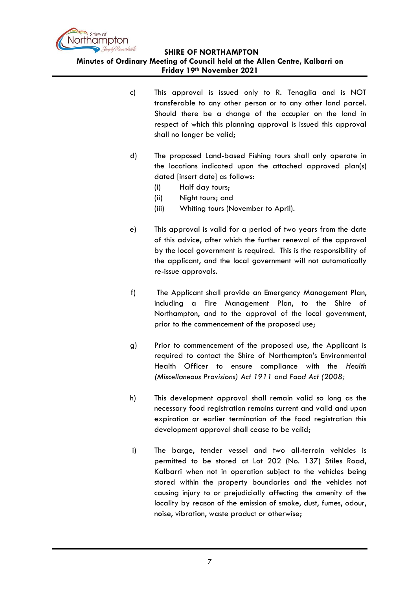

**Minutes of Ordinary Meeting of Council held at the Allen Centre, Kalbarri on Friday 19th November 2021**

- c) This approval is issued only to R. Tenaglia and is NOT transferable to any other person or to any other land parcel. Should there be a change of the occupier on the land in respect of which this planning approval is issued this approval shall no longer be valid;
- d) The proposed Land-based Fishing tours shall only operate in the locations indicated upon the attached approved plan(s) dated [insert date] as follows:
	- (i) Half day tours;
	- (ii) Night tours; and
	- (iii) Whiting tours (November to April).
- e) This approval is valid for a period of two years from the date of this advice, after which the further renewal of the approval by the local government is required. This is the responsibility of the applicant, and the local government will not automatically re-issue approvals.
- f) The Applicant shall provide an Emergency Management Plan, including a Fire Management Plan, to the Shire of Northampton, and to the approval of the local government, prior to the commencement of the proposed use;
- g) Prior to commencement of the proposed use, the Applicant is required to contact the Shire of Northampton's Environmental Health Officer to ensure compliance with the *Health (Miscellaneous Provisions) Act 1911* and *Food Act (2008;*
- h) This development approval shall remain valid so long as the necessary food registration remains current and valid and upon expiration or earlier termination of the food registration this development approval shall cease to be valid;
- i) The barge, tender vessel and two all-terrain vehicles is permitted to be stored at Lot 202 (No. 137) Stiles Road, Kalbarri when not in operation subject to the vehicles being stored within the property boundaries and the vehicles not causing injury to or prejudicially affecting the amenity of the locality by reason of the emission of smoke, dust, fumes, odour, noise, vibration, waste product or otherwise;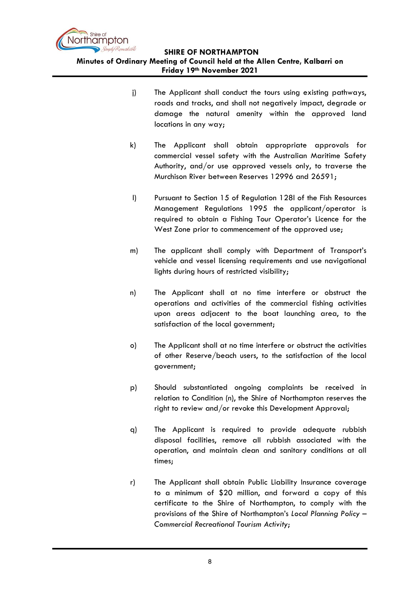

**Minutes of Ordinary Meeting of Council held at the Allen Centre, Kalbarri on Friday 19th November 2021**

- j) The Applicant shall conduct the tours using existing pathways, roads and tracks, and shall not negatively impact, degrade or damage the natural amenity within the approved land locations in any way;
- k) The Applicant shall obtain appropriate approvals for commercial vessel safety with the Australian Maritime Safety Authority, and/or use approved vessels only, to traverse the Murchison River between Reserves 12996 and 26591;
- l) Pursuant to Section 15 of Regulation 128l of the Fish Resources Management Regulations 1995 the applicant/operator is required to obtain a Fishing Tour Operator's Licence for the West Zone prior to commencement of the approved use;
- m) The applicant shall comply with Department of Transport's vehicle and vessel licensing requirements and use navigational lights during hours of restricted visibility;
- n) The Applicant shall at no time interfere or obstruct the operations and activities of the commercial fishing activities upon areas adjacent to the boat launching area, to the satisfaction of the local government;
- o) The Applicant shall at no time interfere or obstruct the activities of other Reserve/beach users, to the satisfaction of the local government;
- p) Should substantiated ongoing complaints be received in relation to Condition (n), the Shire of Northampton reserves the right to review and/or revoke this Development Approval;
- q) The Applicant is required to provide adequate rubbish disposal facilities, remove all rubbish associated with the operation, and maintain clean and sanitary conditions at all times;
- r) The Applicant shall obtain Public Liability Insurance coverage to a minimum of \$20 million, and forward a copy of this certificate to the Shire of Northampton, to comply with the provisions of the Shire of Northampton's *Local Planning Policy – Commercial Recreational Tourism Activity*;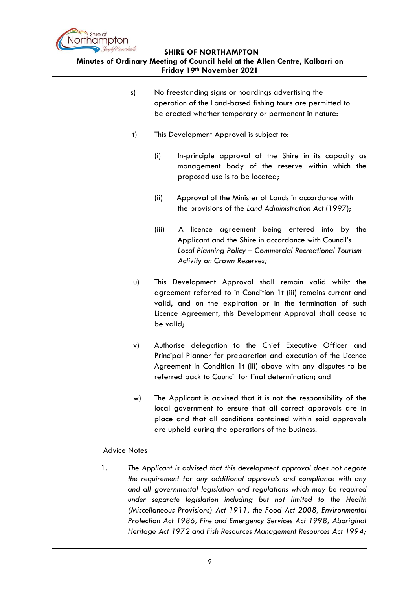

**Minutes of Ordinary Meeting of Council held at the Allen Centre, Kalbarri on Friday 19th November 2021**

- s) No freestanding signs or hoardings advertising the operation of the Land-based fishing tours are permitted to be erected whether temporary or permanent in nature:
- t) This Development Approval is subject to:
	- (i) In-principle approval of the Shire in its capacity as management body of the reserve within which the proposed use is to be located;
	- (ii) Approval of the Minister of Lands in accordance with the provisions of the *Land Administration Act* (1997);
	- (iii) A licence agreement being entered into by the Applicant and the Shire in accordance with Council's *Local Planning Policy – Commercial Recreational Tourism Activity on Crown Reserves;*
- u) This Development Approval shall remain valid whilst the agreement referred to in Condition 1t (iii) remains current and valid, and on the expiration or in the termination of such Licence Agreement, this Development Approval shall cease to be valid;
- v) Authorise delegation to the Chief Executive Officer and Principal Planner for preparation and execution of the Licence Agreement in Condition 1t (iii) above with any disputes to be referred back to Council for final determination; and
- w) The Applicant is advised that it is not the responsibility of the local government to ensure that all correct approvals are in place and that all conditions contained within said approvals are upheld during the operations of the business.

### Advice Notes

1. *The Applicant is advised that this development approval does not negate the requirement for any additional approvals and compliance with any and all governmental legislation and regulations which may be required under separate legislation including but not limited to the Health (Miscellaneous Provisions) Act 1911, the Food Act 2008, Environmental Protection Act 1986, Fire and Emergency Services Act 1998, Aboriginal Heritage Act 1972 and Fish Resources Management Resources Act 1994;*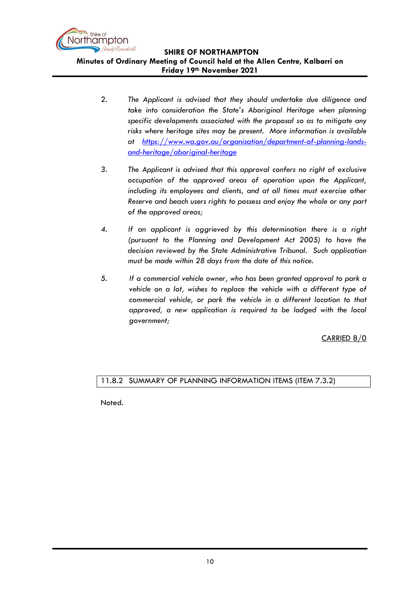

**Friday 19th November 2021**

- 2. *The Applicant is advised that they should undertake due diligence and take into consideration the State's Aboriginal Heritage when planning specific developments associated with the proposal so as to mitigate any risks where heritage sites may be present. More information is available at [https://www.wa.gov.au/organisation/department-of-planning-lands](https://www.wa.gov.au/organisation/department-of-planning-lands-and-heritage/aboriginal-heritage)[and-heritage/aboriginal-heritage](https://www.wa.gov.au/organisation/department-of-planning-lands-and-heritage/aboriginal-heritage)*
- *3. The Applicant is advised that this approval confers no right of exclusive occupation of the approved areas of operation upon the Applicant,*  including its employees and clients, and at all times must exercise other *Reserve and beach users rights to possess and enjoy the whole or any part of the approved areas;*
- *4. If an applicant is aggrieved by this determination there is a right (pursuant to the Planning and Development Act 2005) to have the decision reviewed by the State Administrative Tribunal. Such application must be made within 28 days from the date of this notice.*
- *5. If a commercial vehicle owner, who has been granted approval to park a vehicle on a lot, wishes to replace the vehicle with a different type of commercial vehicle, or park the vehicle in a different location to that approved, a new application is required to be lodged with the local government;*

CARRIED 8/0

# <span id="page-9-0"></span>11.8.2 SUMMARY OF PLANNING INFORMATION ITEMS (ITEM 7.3.2)

Noted.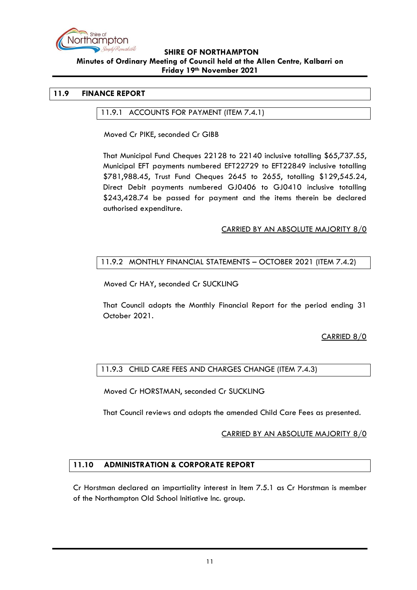

#### <span id="page-10-1"></span><span id="page-10-0"></span>**11.9 FINANCE REPORT**

#### 11.9.1 ACCOUNTS FOR PAYMENT (ITEM 7.4.1)

Moved Cr PIKE, seconded Cr GIBB

That Municipal Fund Cheques 22128 to 22140 inclusive totalling \$65,737.55, Municipal EFT payments numbered EFT22729 to EFT22849 inclusive totalling \$781,988.45, Trust Fund Cheques 2645 to 2655, totalling \$129,545.24, Direct Debit payments numbered GJ0406 to GJ0410 inclusive totalling \$243,428.74 be passed for payment and the items therein be declared authorised expenditure.

#### CARRIED BY AN ABSOLUTE MAJORITY 8/0

#### <span id="page-10-2"></span>11.9.2 MONTHLY FINANCIAL STATEMENTS – OCTOBER 2021 (ITEM 7.4.2)

Moved Cr HAY, seconded Cr SUCKLING

That Council adopts the Monthly Financial Report for the period ending 31 October 2021.

CARRIED 8/0

#### <span id="page-10-3"></span>11.9.3 CHILD CARE FEES AND CHARGES CHANGE (ITEM 7.4.3)

Moved Cr HORSTMAN, seconded Cr SUCKLING

That Council reviews and adopts the amended Child Care Fees as presented.

#### CARRIED BY AN ABSOLUTE MAJORITY 8/0

### <span id="page-10-4"></span>**11.10 ADMINISTRATION & CORPORATE REPORT**

Cr Horstman declared an impartiality interest in Item 7.5.1 as Cr Horstman is member of the Northampton Old School Initiative Inc. group.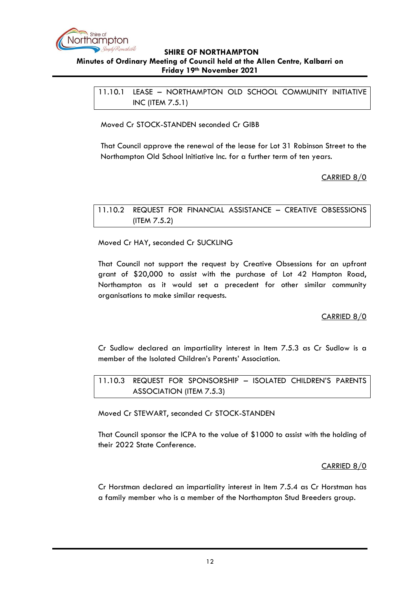

<span id="page-11-0"></span>11.10.1 LEASE – NORTHAMPTON OLD SCHOOL COMMUNITY INITIATIVE INC (ITEM 7.5.1)

Moved Cr STOCK-STANDEN seconded Cr GIBB

That Council approve the renewal of the lease for Lot 31 Robinson Street to the Northampton Old School Initiative Inc. for a further term of ten years.

CARRIED 8/0

<span id="page-11-1"></span>11.10.2 REQUEST FOR FINANCIAL ASSISTANCE – CREATIVE OBSESSIONS (ITEM 7.5.2)

Moved Cr HAY, seconded Cr SUCKLING

That Council not support the request by Creative Obsessions for an upfront grant of \$20,000 to assist with the purchase of Lot 42 Hampton Road, Northampton as it would set a precedent for other similar community organisations to make similar requests.

# CARRIED 8/0

Cr Sudlow declared an impartiality interest in Item 7.5.3 as Cr Sudlow is a member of the Isolated Children's Parents' Association.

<span id="page-11-2"></span>11.10.3 REQUEST FOR SPONSORSHIP – ISOLATED CHILDREN'S PARENTS ASSOCIATION (ITEM 7.5.3)

Moved Cr STEWART, seconded Cr STOCK-STANDEN

That Council sponsor the ICPA to the value of \$1000 to assist with the holding of their 2022 State Conference.

CARRIED 8/0

Cr Horstman declared an impartiality interest in Item 7.5.4 as Cr Horstman has a family member who is a member of the Northampton Stud Breeders group.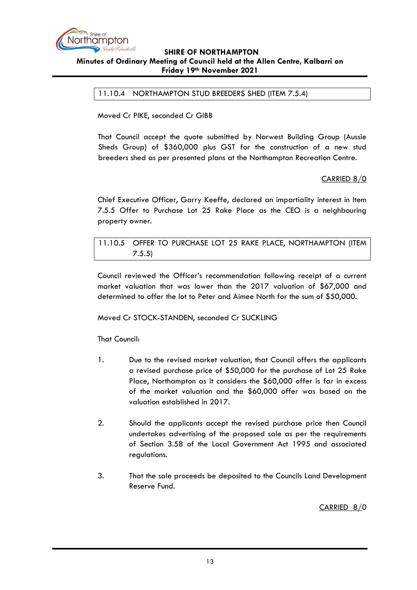

<span id="page-12-0"></span>11.10.4 NORTHAMPTON STUD BREEDERS SHED (ITEM 7.5.4)

Moved Cr PIKE, seconded Cr GIBB

That Council accept the quote submitted by Norwest Building Group (Aussie Sheds Group) of \$360,000 plus GST for the construction of a new stud breeders shed as per presented plans at the Northampton Recreation Centre.

# CARRIED 8/0

Chief Executive Officer, Garry Keeffe, declared an impartiality interest in Item 7.5.5 Offer to Purchase Lot 25 Rake Place as the CEO is a neighbouring property owner.

<span id="page-12-1"></span>11.10.5 OFFER TO PURCHASE LOT 25 RAKE PLACE, NORTHAMPTON (ITEM 7.5.5)

Council reviewed the Officer's recommendation following receipt of a current market valuation that was lower than the 2017 valuation of \$67,000 and determined to offer the lot to Peter and Aimee North for the sum of \$50,000.

Moved Cr STOCK-STANDEN, seconded Cr SUCKLING

That Council:

- 1. Due to the revised market valuation, that Council offers the applicants a revised purchase price of \$50,000 for the purchase of Lot 25 Rake Place, Northampton as it considers the \$60,000 offer is far in excess of the market valuation and the \$60,000 offer was based on the valuation established in 2017.
- 2. Should the applicants accept the revised purchase price then Council undertakes advertising of the proposed sale as per the requirements of Section 3.58 of the Local Government Act 1995 and associated regulations.
- 3. That the sale proceeds be deposited to the Councils Land Development Reserve Fund.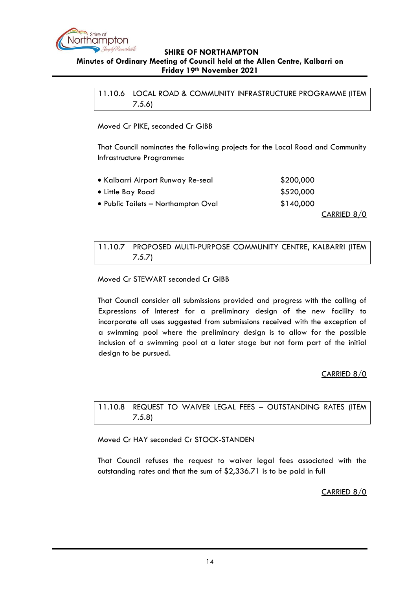

<span id="page-13-0"></span>11.10.6 LOCAL ROAD & COMMUNITY INFRASTRUCTURE PROGRAMME (ITEM 7.5.6)

Moved Cr PIKE, seconded Cr GIBB

That Council nominates the following projects for the Local Road and Community Infrastructure Programme:

| • Kalbarri Airport Runway Re-seal   | \$200,000 |
|-------------------------------------|-----------|
| • Little Bay Road                   | \$520,000 |
| • Public Toilets - Northampton Oval | \$140,000 |
|                                     |           |

CARRIED 8/0

<span id="page-13-1"></span>11.10.7 PROPOSED MULTI-PURPOSE COMMUNITY CENTRE, KALBARRI (ITEM 7.5.7)

### Moved Cr STEWART seconded Cr GIBB

That Council consider all submissions provided and progress with the calling of Expressions of Interest for a preliminary design of the new facility to incorporate all uses suggested from submissions received with the exception of a swimming pool where the preliminary design is to allow for the possible inclusion of a swimming pool at a later stage but not form part of the initial design to be pursued.

### CARRIED 8/0

<span id="page-13-2"></span>11.10.8 REQUEST TO WAIVER LEGAL FEES – OUTSTANDING RATES (ITEM 7.5.8)

Moved Cr HAY seconded Cr STOCK-STANDEN

That Council refuses the request to waiver legal fees associated with the outstanding rates and that the sum of \$2,336.71 is to be paid in full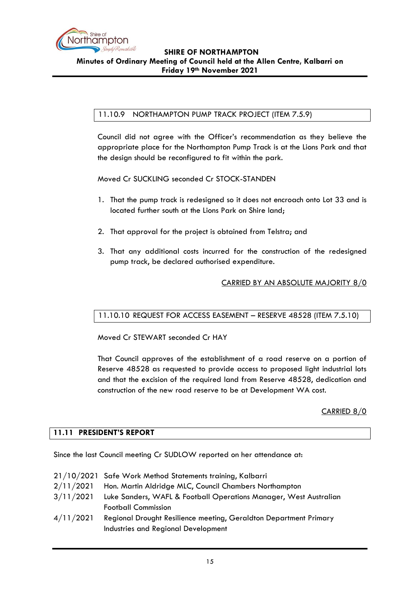

# <span id="page-14-0"></span>11.10.9 NORTHAMPTON PUMP TRACK PROJECT (ITEM 7.5.9)

Council did not agree with the Officer's recommendation as they believe the appropriate place for the Northampton Pump Track is at the Lions Park and that the design should be reconfigured to fit within the park.

Moved Cr SUCKLING seconded Cr STOCK-STANDEN

- 1. That the pump track is redesigned so it does not encroach onto Lot 33 and is located further south at the Lions Park on Shire land;
- 2. That approval for the project is obtained from Telstra; and
- 3. That any additional costs incurred for the construction of the redesigned pump track, be declared authorised expenditure.

### CARRIED BY AN ABSOLUTE MAJORITY 8/0

### <span id="page-14-1"></span>11.10.10 REQUEST FOR ACCESS EASEMENT – RESERVE 48528 (ITEM 7.5.10)

Moved Cr STEWART seconded Cr HAY

That Council approves of the establishment of a road reserve on a portion of Reserve 48528 as requested to provide access to proposed light industrial lots and that the excision of the required land from Reserve 48528, dedication and construction of the new road reserve to be at Development WA cost.

CARRIED 8/0

### <span id="page-14-2"></span>**11.11 PRESIDENT'S REPORT**

Since the last Council meeting Cr SUDLOW reported on her attendance at:

|           | 21/10/2021 Safe Work Method Statements training, Kalbarri         |
|-----------|-------------------------------------------------------------------|
| 2/11/2021 | Hon. Martin Aldridge MLC, Council Chambers Northampton            |
| 3/11/2021 | Luke Sanders, WAFL & Football Operations Manager, West Australian |
|           | <b>Football Commission</b>                                        |
| 4/11/2021 | Regional Drought Resilience meeting, Geraldton Department Primary |
|           | Industries and Regional Development                               |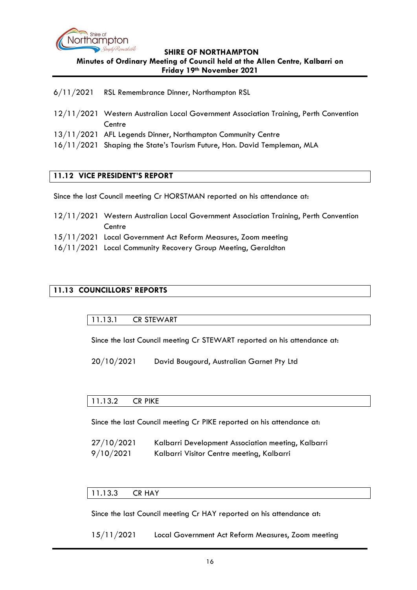

- 6/11/2021 RSL Remembrance Dinner, Northampton RSL
- 12/11/2021 Western Australian Local Government Association Training, Perth Convention **Centre**
- 13/11/2021 AFL Legends Dinner, Northampton Community Centre
- 16/11/2021 Shaping the State's Tourism Future, Hon. David Templeman, MLA

### <span id="page-15-0"></span>**11.12 VICE PRESIDENT'S REPORT**

Since the last Council meeting Cr HORSTMAN reported on his attendance at:

- 12/11/2021 Western Australian Local Government Association Training, Perth Convention **Centre**
- 15/11/2021 Local Government Act Reform Measures, Zoom meeting
- 16/11/2021 Local Community Recovery Group Meeting, Geraldton

# <span id="page-15-2"></span><span id="page-15-1"></span>**11.13 COUNCILLORS' REPORTS**

#### 11.13.1 CR STEWART

Since the last Council meeting Cr STEWART reported on his attendance at:

20/10/2021 David Bougourd, Australian Garnet Pty Ltd

### <span id="page-15-3"></span>11.13.2 CR PIKE

Since the last Council meeting Cr PIKE reported on his attendance at:

27/10/2021 Kalbarri Development Association meeting, Kalbarri 9/10/2021 Kalbarri Visitor Centre meeting, Kalbarri

### <span id="page-15-4"></span>11.13.3 CR HAY

Since the last Council meeting Cr HAY reported on his attendance at:

15/11/2021 Local Government Act Reform Measures, Zoom meeting